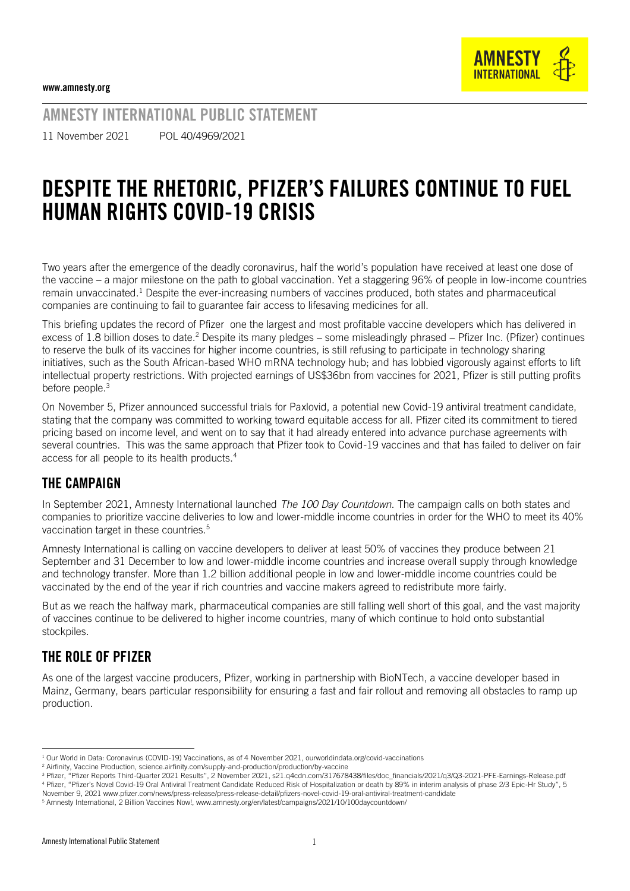

AMNESTY INTERNATIONAL PUBLIC STATEMENT

11 November 2021 POL 40/4969/2021

# DESPITE THE RHETORIC, PFIZER'S FAILURES CONTINUE TO FUEL HUMAN RIGHTS COVID-19 CRISIS

Two years after the emergence of the deadly coronavirus, half the world's population have received at least one dose of the vaccine – a major milestone on the path to global vaccination. Yet a staggering 96% of people in low-income countries remain unvaccinated.<sup>1</sup> Despite the ever-increasing numbers of vaccines produced, both states and pharmaceutical companies are continuing to fail to guarantee fair access to lifesaving medicines for all.

This briefing updates the record of Pfizer one the largest and most profitable vaccine developers which has delivered in excess of 1.8 billion doses to date.<sup>2</sup> Despite its many pledges - some misleadingly phrased - Pfizer Inc. (Pfizer) continues to reserve the bulk of its vaccines for higher income countries, is still refusing to participate in technology sharing initiatives, such as the South African-based WHO mRNA technology hub; and has lobbied vigorously against efforts to lift intellectual property restrictions. With projected earnings of US\$36bn from vaccines for 2021, Pfizer is still putting profits before people.<sup>3</sup>

On November 5, Pfizer announced successful trials for Paxlovid, a potential new Covid-19 antiviral treatment candidate, stating that the company was committed to working toward equitable access for all. Pfizer cited its commitment to tiered pricing based on income level, and went on to say that it had already entered into advance purchase agreements with several countries. This was the same approach that Pfizer took to Covid-19 vaccines and that has failed to deliver on fair access for all people to its health products.<sup>4</sup>

#### THE CAMPAIGN

In September 2021, Amnesty International launched *The 100 Day Countdown*. The campaign calls on both states and companies to prioritize vaccine deliveries to low and lower-middle income countries in order for the WHO to meet its 40% vaccination target in these countries.<sup>5</sup>

Amnesty International is calling on vaccine developers to deliver at least 50% of vaccines they produce between 21 September and 31 December to low and lower-middle income countries and increase overall supply through knowledge and technology transfer. More than 1.2 billion additional people in low and lower-middle income countries could be vaccinated by the end of the year if rich countries and vaccine makers agreed to redistribute more fairly.

But as we reach the halfway mark, pharmaceutical companies are still falling well short of this goal, and the vast majority of vaccines continue to be delivered to higher income countries, many of which continue to hold onto substantial stockpiles.

#### THE ROLE OF PFIZER

As one of the largest vaccine producers, Pfizer, working in partnership with BioNTech, a vaccine developer based in Mainz, Germany, bears particular responsibility for ensuring a fast and fair rollout and removing all obstacles to ramp up production.

<sup>&</sup>lt;sup>1</sup> Our World in Data: Coronavirus (COVID-19) Vaccinations, as of 4 November 2021, ourworldindata.org/covid-vaccinations

<sup>2</sup> Airfinity, Vaccine Production, science.airfinity.com/supply-and-production/production/by-vaccine

<sup>&</sup>lt;sup>3</sup> Pfizer, "Pfizer Reports Third-Quarter 2021 Results", 2 November 2021[, s21.q4cdn.com/317678438/files/doc\\_financials/2021/q3/Q3-2021-PFE-Earnings-Release.pdf](https://s21.q4cdn.com/317678438/files/doc_financials/2021/q3/Q3-2021-PFE-Earnings-Release.pdf) <sup>4</sup> Pfizer, "Pfizer's Novel Covid-19 Oral Antiviral Treatment Candidate Reduced Risk of Hospitalization or death by 89% in interim analysis of phase 2/3 Epic-Hr Study", 5 November 9, 2021 [www.pfizer.com/news/press-release/press-release-detail/pfizers-novel-covid-19-oral-antiviral-treatment-candidate](https://www.pfizer.com/news/press-release/press-release-detail/pfizers-novel-covid-19-oral-antiviral-treatment-candidate)

<sup>5</sup> Amnesty International, 2 Billion Vaccines Now![, www.amnesty.org/en/latest/campaigns/2021/10/100daycountdown/](http://www.amnesty.org/en/latest/campaigns/2021/10/100daycountdown/)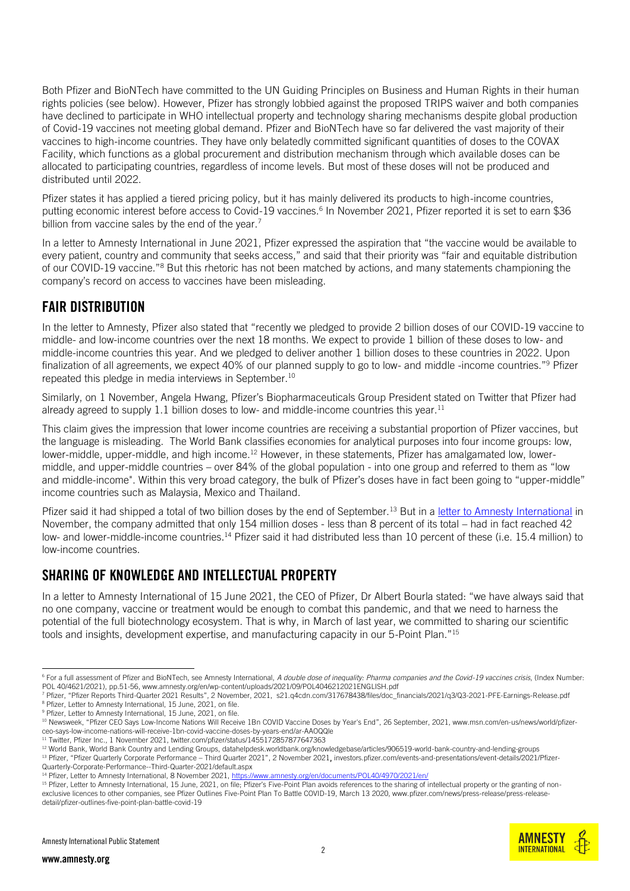Both Pfizer and BioNTech have committed to the UN Guiding Principles on Business and Human Rights in their human rights policies (see below). However, Pfizer has strongly lobbied against the proposed TRIPS waiver and both companies have declined to participate in WHO intellectual property and technology sharing mechanisms despite global production of Covid-19 vaccines not meeting global demand. Pfizer and BioNTech have so far delivered the vast majority of their vaccines to high-income countries. They have only belatedly committed significant quantities of doses to the COVAX Facility, which functions as a global procurement and distribution mechanism through which available doses can be allocated to participating countries, regardless of income levels. But most of these doses will not be produced and distributed until 2022.

Pfizer states it has applied a tiered pricing policy, but it has mainly delivered its products to high-income countries, putting economic interest before access to Covid-19 vaccines.<sup>6</sup> In November 2021, Pfizer reported it is set to earn \$36 billion from vaccine sales by the end of the year.<sup>7</sup>

In a letter to Amnesty International in June 2021, Pfizer expressed the aspiration that "the vaccine would be available to every patient, country and community that seeks access," and said that their priority was "fair and equitable distribution of our COVID-19 vaccine."<sup>8</sup> But this rhetoric has not been matched by actions, and many statements championing the company's record on access to vaccines have been misleading.

# FAIR DISTRIBUTION

In the letter to Amnesty, Pfizer also stated that "recently we pledged to provide 2 billion doses of our COVID-19 vaccine to middle- and low-income countries over the next 18 months. We expect to provide 1 billion of these doses to low- and middle-income countries this year. And we pledged to deliver another 1 billion doses to these countries in 2022. Upon finalization of all agreements, we expect 40% of our planned supply to go to low- and middle -income countries."<sup>9</sup> Pfizer repeated this pledge in media interviews in September.<sup>10</sup>

Similarly, on 1 November, Angela Hwang, Pfizer's Biopharmaceuticals Group President stated on Twitter that Pfizer had already agreed to supply  $1.1$  billion doses to low- and middle-income countries this year.<sup>11</sup>

This claim gives the impression that lower income countries are receiving a substantial proportion of Pfizer vaccines, but the language is misleading. The World Bank classifies economies for analytical purposes into four income groups: low, lower-middle, upper-middle, and high income.<sup>12</sup> However, in these statements, Pfizer has amalgamated low, lowermiddle, and upper-middle countries – over 84% of the global population - into one group and referred to them as "low and middle-income". Within this very broad category, the bulk of Pfizer's doses have in fact been going to "upper-middle" income countries such as Malaysia, Mexico and Thailand.

Pfizer said it had shipped a total of two billion doses by the end of September.<sup>13</sup> But in a [letter to Amnesty International](https://www.amnesty.org/en/documents/POL40/4970/2021/en/) in November, the company admitted that only 154 million doses - less than 8 percent of its total – had in fact reached 42 low- and lower-middle-income countries.<sup>14</sup> Pfizer said it had distributed less than 10 percent of these (i.e. 15.4 million) to low-income countries.

# SHARING OF KNOWLEDGE AND INTELLECTUAL PROPERTY

In a letter to Amnesty International of 15 June 2021, the CEO of Pfizer, Dr Albert Bourla stated: "we have always said that no one company, vaccine or treatment would be enough to combat this pandemic, and that we need to harness the potential of the full biotechnology ecosystem. That is why, in March of last year, we committed to sharing our scientific tools and insights, development expertise, and manufacturing capacity in our 5-Point Plan."<sup>15</sup>

<sup>11</sup> Twitter, Pfizer Inc., 1 November 2021[, twitter.com/pfizer/status/1455172857877647363](https://twitter.com/pfizer/status/1455172857877647363)



<sup>&</sup>lt;sup>6</sup> For a full assessment of Pfizer and BioNTech, see Amnesty International, *A double dose of inequality: Pharma companies and the Covid-19 vaccines crisis*, (Index Number: POL 40/4621/2021), pp.51-56, www.amnesty.org/en/wp-content/uploads/2021/09/POL4046212021ENGLISH.pdf

<sup>7</sup> Pfizer, "Pfizer Reports Third-Quarter 2021 Results", 2 November, 2021, s21.q4cdn.com/317678438/files/doc\_financials/2021/q3/Q3-2021-PFE-Earnings-Release.pdf <sup>8</sup> Pfizer, Letter to Amnesty International, 15 June, 2021, on file.

<sup>&</sup>lt;sup>9</sup> Pfizer, Letter to Amnesty International, 15 June, 2021, on file.

<sup>&</sup>lt;sup>10</sup> Newsweek, "Pfizer CEO Says Low-Income Nations Will Receive 1Bn COVID Vaccine Doses by Year's End", 26 September, 2021[, www.msn.com/en-us/news/world/pfizer](https://www.msn.com/en-us/news/world/pfizer-ceo-says-low-income-nations-will-receive-1bn-covid-vaccine-doses-by-years-end/ar-AAOQQle)[ceo-says-low-income-nations-will-receive-1bn-covid-vaccine-doses-by-years-end/ar-AAOQQle](https://www.msn.com/en-us/news/world/pfizer-ceo-says-low-income-nations-will-receive-1bn-covid-vaccine-doses-by-years-end/ar-AAOQQle)

<sup>&</sup>lt;sup>12</sup> World Bank, World Bank Country and Lending Groups, datahelpdesk.worldbank.org/knowledgebase/articles/906519-world-bank-country-and-lending-groups

<sup>13</sup> Pfizer, "Pfizer Quarterly Corporate Performance – Third Quarter 2021", 2 November 2021, investors.pfizer.com/events-and-presentations/event-details/2021/Pfizer-Quarterly-Corporate-Performance--Third-Quarter-2021/default.aspx

<sup>14</sup> Pfizer, Letter to Amnesty International, 8 November 2021,<https://www.amnesty.org/en/documents/POL40/4970/2021/en/>

<sup>&</sup>lt;sup>15</sup> Pfizer, Letter to Amnesty International, 15 June, 2021, on file; Pfizer's Five-Point Plan avoids references to the sharing of intellectual property or the granting of non-exclusive licences to other companies, see Pfizer Outlines Five-Point Plan To Battle COVID-19, March 13 2020[, www.pfizer.com/news/press-release/press-release](http://www.pfizer.com/news/press-release/press-release-detail/pfizer-outlines-five-point-plan-battle-covid-19)[detail/pfizer-outlines-five-point-plan-battle-covid-19](http://www.pfizer.com/news/press-release/press-release-detail/pfizer-outlines-five-point-plan-battle-covid-19)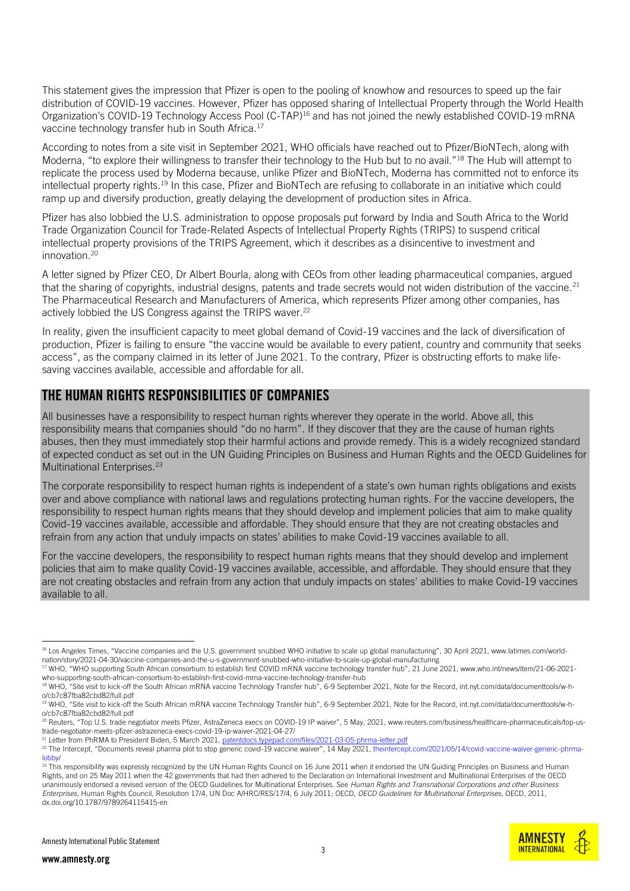This statement gives the impression that Pfizer is open to the pooling of knowhow and resources to speed up the fair distribution of COVID-19 vaccines. However, Pfizer has opposed sharing of Intellectual Property through the World Health Organization's COVID-19 Technology Access Pool (C-TAP)<sup>16</sup> and has not joined the newly established COVID-19 mRNA vaccine technology transfer hub in South Africa.<sup>17</sup>

According to notes from a site visit in September 2021, WHO officials have reached out to Pfizer/BioNTech, along with Moderna, "to explore their willingness to transfer their technology to the Hub but to no avail."<sup>18</sup> The Hub will attempt to replicate the process used by Moderna because, unlike Pfizer and BioNTech, Moderna has committed not to enforce its intellectual property rights.<sup>19</sup> In this case, Pfizer and BioNTech are refusing to collaborate in an initiative which could ramp up and diversify production, greatly delaying the development of production sites in Africa.

Pfizer has also lobbied the U.S. administration to oppose proposals put forward by India and South Africa to the World Trade Organization Council for Trade-Related Aspects of Intellectual Property Rights (TRIPS) to suspend critical intellectual property provisions of the TRIPS Agreement, which it describes as a disincentive to investment and innovation.<sup>20</sup>

A letter signed by Pfizer CEO, Dr Albert Bourla, along with CEOs from other leading pharmaceutical companies, argued that the sharing of copyrights, industrial designs, patents and trade secrets would not widen distribution of the vaccine.<sup>21</sup> The Pharmaceutical Research and Manufacturers of America, which represents Pfizer among other companies, has actively lobbied the US Congress against the TRIPS waver.<sup>22</sup>

In reality, given the insufficient capacity to meet global demand of Covid-19 vaccines and the lack of diversification of production, Pfizer is failing to ensure "the vaccine would be available to every patient, country and community that seeks access", as the company claimed in its letter of June 2021. To the contrary, Pfizer is obstructing efforts to make lifesaving vaccines available, accessible and affordable for all.

#### THE HUMAN RIGHTS RESPONSIBILITIES OF COMPANIES

All businesses have a responsibility to respect human rights wherever they operate in the world. Above all, this responsibility means that companies should "do no harm". If they discover that they are the cause of human rights abuses, then they must immediately stop their harmful actions and provide remedy. This is a widely recognized standard of expected conduct as set out in the UN Guiding Principles on Business and Human Rights and the OECD Guidelines for Multinational Enterprises.<sup>23</sup>

The corporate responsibility to respect human rights is independent of a state's own human rights obligations and exists over and above compliance with national laws and regulations protecting human rights. For the vaccine developers, the responsibility to respect human rights means that they should develop and implement policies that aim to make quality Covid-19 vaccines available, accessible and affordable. They should ensure that they are not creating obstacles and refrain from any action that unduly impacts on states' abilities to make Covid-19 vaccines available to all.

For the vaccine developers, the responsibility to respect human rights means that they should develop and implement policies that aim to make quality Covid-19 vaccines available, accessible, and affordable. They should ensure that they are not creating obstacles and refrain from any action that unduly impacts on states' abilities to make Covid-19 vaccines available to all.

 $^{23}$  This responsibility was expressly recognized by the UN Human Rights Council on 16 June 2011 when it endorsed the UN Guiding Principles on Business and Human Rights, and on 25 May 2011 when the 42 governments that had then adhered to the Declaration on International Investment and Multinational Enterprises of the OECD unanimously endorsed a revised version of the OECD Guidelines for Multinational Enterprises. See *Human Rights and Transnational Corporations and other Business Enterprises*, Human Rights Council, Resolution 17/4, UN Doc A/HRC/RES/17/4, 6 July 2011; OECD, *OECD Guidelines for Multinational Enterprises*, OECD, 2011, dx.doi.org/10.1787/9789264115415-en





<sup>16</sup> Los Angeles Times, "Vaccine companies and the U.S. government snubbed WHO initiative to scale up global manufacturing", 30 April 2021[, www.latimes.com/world](http://www.latimes.com/world-nation/story/2021-04-30/vaccine-companies-and-the-u-s-government-snubbed-who-initiative-to-scale-up-global-manufacturing)[nation/story/2021-04-30/vaccine-companies-and-the-u-s-government-snubbed-who-initiative-to-scale-up-global-manufacturing](http://www.latimes.com/world-nation/story/2021-04-30/vaccine-companies-and-the-u-s-government-snubbed-who-initiative-to-scale-up-global-manufacturing)

<sup>&</sup>lt;sup>17</sup> WHO, "WHO supporting South African consortium to establish first COVID mRNA vaccine technology transfer hub", 21 June 2021[, www.who.int/news/item/21-06-2021](http://www.who.int/news/item/21-06-2021-who-supporting-south-african-consortium-to-establish-first-covid-mrna-vaccine-technology-transfer-hub) [who-supporting-south-african-consortium-to-establish-first-covid-mrna-vaccine-technology-transfer-hub](http://www.who.int/news/item/21-06-2021-who-supporting-south-african-consortium-to-establish-first-covid-mrna-vaccine-technology-transfer-hub)

<sup>18</sup> WHO, "Site visit to kick-off the South African mRNA vaccine Technology Transfer hub", 6-9 September 2021, Note for the Record, int.nyt.com/data/documenttools/w-ho/cb7c87fba82cbd82/full.pdf

<sup>19</sup> WHO, "Site visit to kick-off the South African mRNA vaccine Technology Transfer hub", 6-9 September 2021, Note for the Record, int.nyt.com/data/documenttools/w-ho/cb7c87fba82cbd82/full.pdf

<sup>20</sup> Reuters, "Top U.S. trade negotiator meets Pfizer, AstraZeneca execs on COVID-19 IP waiver", 5 May, 2021, [www.reuters.com/business/healthcare-pharmaceuticals/top-us](https://www.reuters.com/business/healthcare-pharmaceuticals/top-us-trade-negotiator-meets-pfizer-astrazeneca-execs-covid-19-ip-waiver-2021-04-27/)[trade-negotiator-meets-pfizer-astrazeneca-execs-covid-19-ip-waiver-2021-04-27/](https://www.reuters.com/business/healthcare-pharmaceuticals/top-us-trade-negotiator-meets-pfizer-astrazeneca-execs-covid-19-ip-waiver-2021-04-27/) <sup>21</sup> Letter from PhRMA to President Biden, 5 March 2021, patentdocs.typepad.com/files/2021-03-05-phrma-letter.pdf

<sup>&</sup>lt;sup>22</sup> The Intercept, "Documents reveal pharma plot to stop generic covid-19 vaccine waiver", 14 May 2021, theintercept.com/2021/05/14/covid-vaccine-waiver-generic-phrmalobby/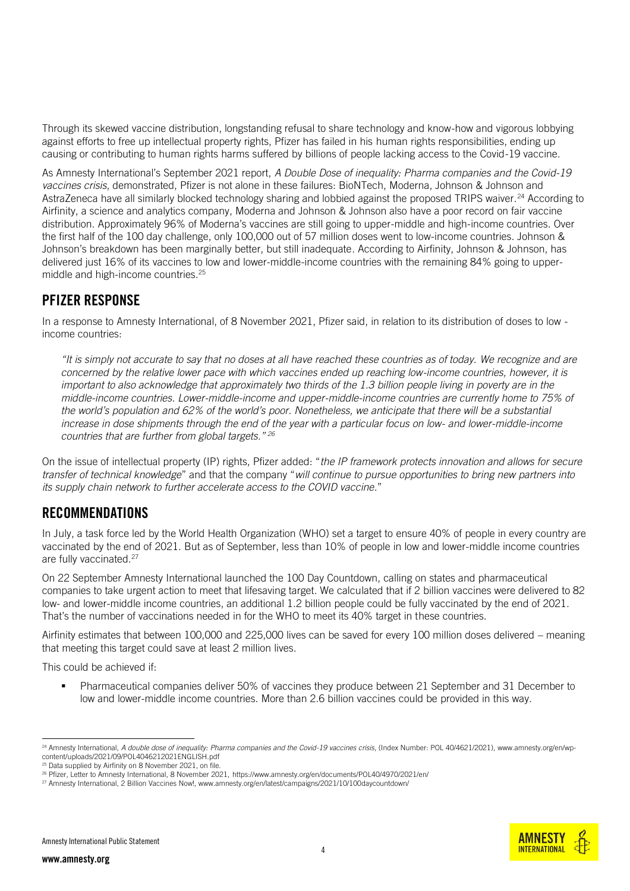Through its skewed vaccine distribution, longstanding refusal to share technology and know-how and vigorous lobbying against efforts to free up intellectual property rights, Pfizer has failed in his human rights responsibilities, ending up causing or contributing to human rights harms suffered by billions of people lacking access to the Covid-19 vaccine.

As Amnesty International's September 2021 report, *A Double Dose of inequality: Pharma companies and the Covid-19 vaccines crisis*, demonstrated, Pfizer is not alone in these failures: BioNTech, Moderna, Johnson & Johnson and AstraZeneca have all similarly blocked technology sharing and lobbied against the proposed TRIPS waiver.<sup>24</sup> According to Airfinity, a science and analytics company, Moderna and Johnson & Johnson also have a poor record on fair vaccine distribution. Approximately 96% of Moderna's vaccines are still going to upper-middle and high-income countries. Over the first half of the 100 day challenge, only 100,000 out of 57 million doses went to low-income countries. Johnson & Johnson's breakdown has been marginally better, but still inadequate. According to Airfinity, Johnson & Johnson, has delivered just 16% of its vaccines to low and lower-middle-income countries with the remaining 84% going to uppermiddle and high-income countries.<sup>25</sup>

#### PFIZER RESPONSE

In a response to Amnesty International, of 8 November 2021, Pfizer said, in relation to its distribution of doses to low income countries:

*"It is simply not accurate to say that no doses at all have reached these countries as of today. We recognize and are concerned by the relative lower pace with which vaccines ended up reaching low-income countries, however, it is important to also acknowledge that approximately two thirds of the 1.3 billion people living in poverty are in the middle-income countries. Lower-middle-income and upper-middle-income countries are currently home to 75% of the world's population and 62% of the world's poor. Nonetheless, we anticipate that there will be a substantial increase in dose shipments through the end of the year with a particular focus on low- and lower-middle-income countries that are further from global targets." <sup>26</sup>*

On the issue of intellectual property (IP) rights, Pfizer added: "*the IP framework protects innovation and allows for secure transfer of technical knowledge*" and that the company "*will continue to pursue opportunities to bring new partners into its supply chain network to further accelerate access to the COVID vaccine*."

# RECOMMENDATIONS

In July, a task force led by the World Health Organization (WHO) set a target to ensure 40% of people in every country are vaccinated by the end of 2021. But as of September, less than 10% of people in low and lower-middle income countries are fully vaccinated.<sup>27</sup>

On 22 September Amnesty International launched the 100 Day Countdown, calling on states and pharmaceutical companies to take urgent action to meet that lifesaving target. We calculated that if 2 billion vaccines were delivered to 82 low- and lower-middle income countries, an additional 1.2 billion people could be fully vaccinated by the end of 2021. That's the number of vaccinations needed in for the WHO to meet its 40% target in these countries.

Airfinity estimates that between 100,000 and 225,000 lives can be saved for every 100 million doses delivered – meaning that meeting this target could save at least 2 million lives.

This could be achieved if:

**•** Pharmaceutical companies deliver 50% of vaccines they produce between 21 September and 31 December to low and lower-middle income countries. More than 2.6 billion vaccines could be provided in this way.

Amnesty International Public Statement

**AMNEST INTERNATIONAL** 

<sup>&</sup>lt;sup>24</sup> Amnesty International, *A double dose of inequality: Pharma companies and the Covid-19 vaccines crisis*, (Index Number: POL 40/4621/2021), www.amnesty.org/en/wpcontent/uploads/2021/09/POL4046212021ENGLISH.pdf

<sup>&</sup>lt;sup>25</sup> Data supplied by Airfinity on 8 November 2021, on file.

<sup>26</sup> Pfizer, Letter to Amnesty International, 8 November 2021, <https://www.amnesty.org/en/documents/POL40/4970/2021/en/>

<sup>&</sup>lt;sup>27</sup> Amnesty International, 2 Billion Vaccines Now![, www.amnesty.org/en/latest/campaigns/2021/10/100daycountdown/](http://www.amnesty.org/en/latest/campaigns/2021/10/100daycountdown/)